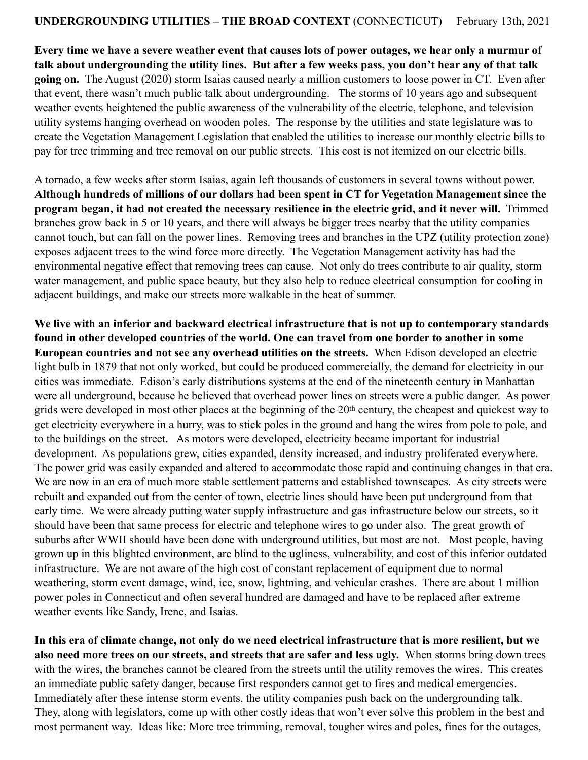**Every time we have a severe weather event that causes lots of power outages, we hear only a murmur of talk about undergrounding the utility lines. But after a few weeks pass, you don't hear any of that talk going on.** The August (2020) storm Isaias caused nearly a million customers to loose power in CT. Even after that event, there wasn't much public talk about undergrounding. The storms of 10 years ago and subsequent weather events heightened the public awareness of the vulnerability of the electric, telephone, and television utility systems hanging overhead on wooden poles. The response by the utilities and state legislature was to create the Vegetation Management Legislation that enabled the utilities to increase our monthly electric bills to pay for tree trimming and tree removal on our public streets. This cost is not itemized on our electric bills.

A tornado, a few weeks after storm Isaias, again left thousands of customers in several towns without power. **Although hundreds of millions of our dollars had been spent in CT for Vegetation Management since the program began, it had not created the necessary resilience in the electric grid, and it never will.** Trimmed branches grow back in 5 or 10 years, and there will always be bigger trees nearby that the utility companies cannot touch, but can fall on the power lines. Removing trees and branches in the UPZ (utility protection zone) exposes adjacent trees to the wind force more directly. The Vegetation Management activity has had the environmental negative effect that removing trees can cause. Not only do trees contribute to air quality, storm water management, and public space beauty, but they also help to reduce electrical consumption for cooling in adjacent buildings, and make our streets more walkable in the heat of summer.

**We live with an inferior and backward electrical infrastructure that is not up to contemporary standards found in other developed countries of the world. One can travel from one border to another in some European countries and not see any overhead utilities on the streets.** When Edison developed an electric light bulb in 1879 that not only worked, but could be produced commercially, the demand for electricity in our cities was immediate. Edison's early distributions systems at the end of the nineteenth century in Manhattan were all underground, because he believed that overhead power lines on streets were a public danger. As power grids were developed in most other places at the beginning of the 20th century, the cheapest and quickest way to get electricity everywhere in a hurry, was to stick poles in the ground and hang the wires from pole to pole, and to the buildings on the street. As motors were developed, electricity became important for industrial development. As populations grew, cities expanded, density increased, and industry proliferated everywhere. The power grid was easily expanded and altered to accommodate those rapid and continuing changes in that era. We are now in an era of much more stable settlement patterns and established townscapes. As city streets were rebuilt and expanded out from the center of town, electric lines should have been put underground from that early time. We were already putting water supply infrastructure and gas infrastructure below our streets, so it should have been that same process for electric and telephone wires to go under also. The great growth of suburbs after WWII should have been done with underground utilities, but most are not. Most people, having grown up in this blighted environment, are blind to the ugliness, vulnerability, and cost of this inferior outdated infrastructure. We are not aware of the high cost of constant replacement of equipment due to normal weathering, storm event damage, wind, ice, snow, lightning, and vehicular crashes. There are about 1 million power poles in Connecticut and often several hundred are damaged and have to be replaced after extreme weather events like Sandy, Irene, and Isaias.

**In this era of climate change, not only do we need electrical infrastructure that is more resilient, but we also need more trees on our streets, and streets that are safer and less ugly.** When storms bring down trees with the wires, the branches cannot be cleared from the streets until the utility removes the wires. This creates an immediate public safety danger, because first responders cannot get to fires and medical emergencies. Immediately after these intense storm events, the utility companies push back on the undergrounding talk. They, along with legislators, come up with other costly ideas that won't ever solve this problem in the best and most permanent way. Ideas like: More tree trimming, removal, tougher wires and poles, fines for the outages,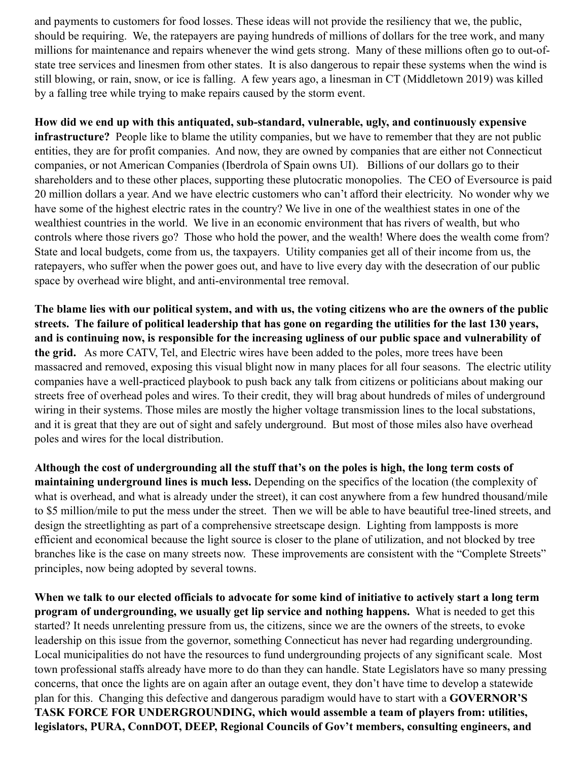and payments to customers for food losses. These ideas will not provide the resiliency that we, the public, should be requiring. We, the ratepayers are paying hundreds of millions of dollars for the tree work, and many millions for maintenance and repairs whenever the wind gets strong. Many of these millions often go to out-ofstate tree services and linesmen from other states. It is also dangerous to repair these systems when the wind is still blowing, or rain, snow, or ice is falling. A few years ago, a linesman in CT (Middletown 2019) was killed by a falling tree while trying to make repairs caused by the storm event.

**How did we end up with this antiquated, sub-standard, vulnerable, ugly, and continuously expensive infrastructure?** People like to blame the utility companies, but we have to remember that they are not public entities, they are for profit companies. And now, they are owned by companies that are either not Connecticut companies, or not American Companies (Iberdrola of Spain owns UI). Billions of our dollars go to their shareholders and to these other places, supporting these plutocratic monopolies. The CEO of Eversource is paid 20 million dollars a year. And we have electric customers who can't afford their electricity. No wonder why we have some of the highest electric rates in the country? We live in one of the wealthiest states in one of the wealthiest countries in the world. We live in an economic environment that has rivers of wealth, but who controls where those rivers go? Those who hold the power, and the wealth! Where does the wealth come from? State and local budgets, come from us, the taxpayers. Utility companies get all of their income from us, the ratepayers, who suffer when the power goes out, and have to live every day with the desecration of our public space by overhead wire blight, and anti-environmental tree removal.

**The blame lies with our political system, and with us, the voting citizens who are the owners of the public streets. The failure of political leadership that has gone on regarding the utilities for the last 130 years, and is continuing now, is responsible for the increasing ugliness of our public space and vulnerability of the grid.** As more CATV, Tel, and Electric wires have been added to the poles, more trees have been massacred and removed, exposing this visual blight now in many places for all four seasons. The electric utility companies have a well-practiced playbook to push back any talk from citizens or politicians about making our streets free of overhead poles and wires. To their credit, they will brag about hundreds of miles of underground wiring in their systems. Those miles are mostly the higher voltage transmission lines to the local substations, and it is great that they are out of sight and safely underground. But most of those miles also have overhead poles and wires for the local distribution.

**Although the cost of undergrounding all the stuff that's on the poles is high, the long term costs of maintaining underground lines is much less.** Depending on the specifics of the location (the complexity of what is overhead, and what is already under the street), it can cost anywhere from a few hundred thousand/mile to \$5 million/mile to put the mess under the street. Then we will be able to have beautiful tree-lined streets, and design the streetlighting as part of a comprehensive streetscape design. Lighting from lampposts is more efficient and economical because the light source is closer to the plane of utilization, and not blocked by tree branches like is the case on many streets now. These improvements are consistent with the "Complete Streets" principles, now being adopted by several towns.

**When we talk to our elected officials to advocate for some kind of initiative to actively start a long term program of undergrounding, we usually get lip service and nothing happens.** What is needed to get this started? It needs unrelenting pressure from us, the citizens, since we are the owners of the streets, to evoke leadership on this issue from the governor, something Connecticut has never had regarding undergrounding. Local municipalities do not have the resources to fund undergrounding projects of any significant scale. Most town professional staffs already have more to do than they can handle. State Legislators have so many pressing concerns, that once the lights are on again after an outage event, they don't have time to develop a statewide plan for this. Changing this defective and dangerous paradigm would have to start with a **GOVERNOR'S TASK FORCE FOR UNDERGROUNDING, which would assemble a team of players from: utilities, legislators, PURA, ConnDOT, DEEP, Regional Councils of Gov't members, consulting engineers, and**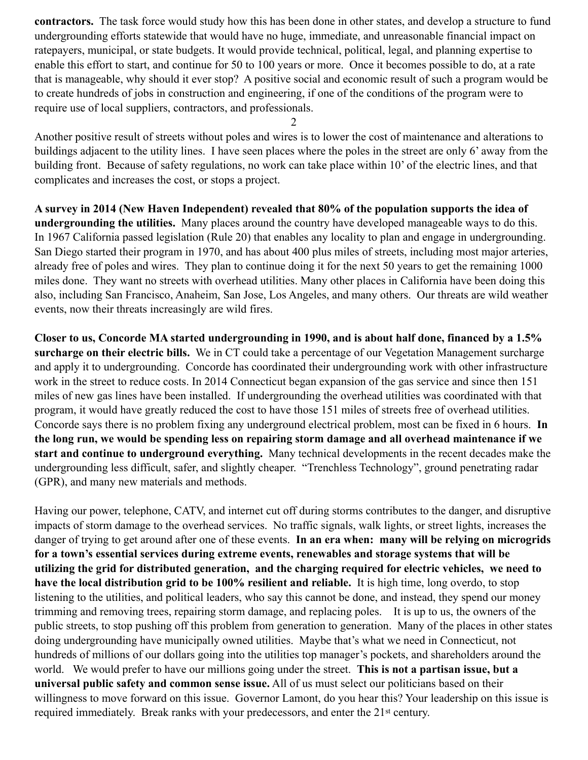**contractors.** The task force would study how this has been done in other states, and develop a structure to fund undergrounding efforts statewide that would have no huge, immediate, and unreasonable financial impact on ratepayers, municipal, or state budgets. It would provide technical, political, legal, and planning expertise to enable this effort to start, and continue for 50 to 100 years or more. Once it becomes possible to do, at a rate that is manageable, why should it ever stop? A positive social and economic result of such a program would be to create hundreds of jobs in construction and engineering, if one of the conditions of the program were to require use of local suppliers, contractors, and professionals.

2

Another positive result of streets without poles and wires is to lower the cost of maintenance and alterations to buildings adjacent to the utility lines. I have seen places where the poles in the street are only 6' away from the building front. Because of safety regulations, no work can take place within 10' of the electric lines, and that complicates and increases the cost, or stops a project.

**A survey in 2014 (New Haven Independent) revealed that 80% of the population supports the idea of undergrounding the utilities.** Many places around the country have developed manageable ways to do this. In 1967 California passed legislation (Rule 20) that enables any locality to plan and engage in undergrounding. San Diego started their program in 1970, and has about 400 plus miles of streets, including most major arteries, already free of poles and wires. They plan to continue doing it for the next 50 years to get the remaining 1000 miles done. They want no streets with overhead utilities. Many other places in California have been doing this also, including San Francisco, Anaheim, San Jose, Los Angeles, and many others. Our threats are wild weather events, now their threats increasingly are wild fires.

**Closer to us, Concorde MA started undergrounding in 1990, and is about half done, financed by a 1.5% surcharge on their electric bills.** We in CT could take a percentage of our Vegetation Management surcharge and apply it to undergrounding. Concorde has coordinated their undergrounding work with other infrastructure work in the street to reduce costs. In 2014 Connecticut began expansion of the gas service and since then 151 miles of new gas lines have been installed. If undergrounding the overhead utilities was coordinated with that program, it would have greatly reduced the cost to have those 151 miles of streets free of overhead utilities. Concorde says there is no problem fixing any underground electrical problem, most can be fixed in 6 hours. **In the long run, we would be spending less on repairing storm damage and all overhead maintenance if we start and continue to underground everything.** Many technical developments in the recent decades make the undergrounding less difficult, safer, and slightly cheaper. "Trenchless Technology", ground penetrating radar (GPR), and many new materials and methods.

Having our power, telephone, CATV, and internet cut off during storms contributes to the danger, and disruptive impacts of storm damage to the overhead services. No traffic signals, walk lights, or street lights, increases the danger of trying to get around after one of these events. **In an era when: many will be relying on microgrids for a town's essential services during extreme events, renewables and storage systems that will be utilizing the grid for distributed generation, and the charging required for electric vehicles, we need to have the local distribution grid to be 100% resilient and reliable.** It is high time, long overdo, to stop listening to the utilities, and political leaders, who say this cannot be done, and instead, they spend our money trimming and removing trees, repairing storm damage, and replacing poles. It is up to us, the owners of the public streets, to stop pushing off this problem from generation to generation. Many of the places in other states doing undergrounding have municipally owned utilities. Maybe that's what we need in Connecticut, not hundreds of millions of our dollars going into the utilities top manager's pockets, and shareholders around the world. We would prefer to have our millions going under the street. **This is not a partisan issue, but a universal public safety and common sense issue.** All of us must select our politicians based on their willingness to move forward on this issue. Governor Lamont, do you hear this? Your leadership on this issue is required immediately. Break ranks with your predecessors, and enter the 21st century.